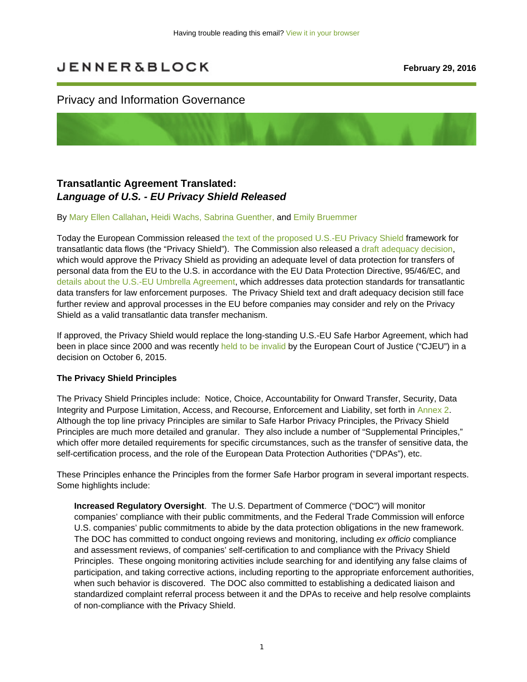# **JENNER&BLOCK**

## Privacy and Information Governance

# **Transatlantic Agreement Translated:**  *Language of U.S. - EU Privacy Shield Released*

#### By Mary Ellen Callahan, Heidi Wachs, Sabrina Guenther, and Emily Bruemmer

Today the European Commission released the text of the proposed U.S.-EU Privacy Shield framework for transatlantic data flows (the "Privacy Shield"). The Commission also released a draft adequacy decision, which would approve the Privacy Shield as providing an adequate level of data protection for transfers of personal data from the EU to the U.S. in accordance with the EU Data Protection Directive, 95/46/EC, and details about the U.S.-EU Umbrella Agreement, which addresses data protection standards for transatlantic data transfers for law enforcement purposes. The Privacy Shield text and draft adequacy decision still face further review and approval processes in the EU before companies may consider and rely on the Privacy Shield as a valid transatlantic data transfer mechanism.

If approved, the Privacy Shield would replace the long-standing U.S.-EU Safe Harbor Agreement, which had been in place since 2000 and was recently held to be invalid by the European Court of Justice ("CJEU") in a decision on October 6, 2015.

#### **The Privacy Shield Principles**

The Privacy Shield Principles include: Notice, Choice, Accountability for Onward Transfer, Security, Data Integrity and Purpose Limitation, Access, and Recourse, Enforcement and Liability, set forth in Annex 2. Although the top line privacy Principles are similar to Safe Harbor Privacy Principles, the Privacy Shield Principles are much more detailed and granular. They also include a number of "Supplemental Principles," which offer more detailed requirements for specific circumstances, such as the transfer of sensitive data, the self-certification process, and the role of the European Data Protection Authorities ("DPAs"), etc.

These Principles enhance the Principles from the former Safe Harbor program in several important respects. Some highlights include:

**Increased Regulatory Oversight**. The U.S. Department of Commerce ("DOC") will monitor companies' compliance with their public commitments, and the Federal Trade Commission will enforce U.S. companies' public commitments to abide by the data protection obligations in the new framework. The DOC has committed to conduct ongoing reviews and monitoring, including *ex officio* compliance and assessment reviews, of companies' self-certification to and compliance with the Privacy Shield Principles. These ongoing monitoring activities include searching for and identifying any false claims of participation, and taking corrective actions, including reporting to the appropriate enforcement authorities, when such behavior is discovered. The DOC also committed to establishing a dedicated liaison and standardized complaint referral process between it and the DPAs to receive and help resolve complaints of non-compliance with the Privacy Shield.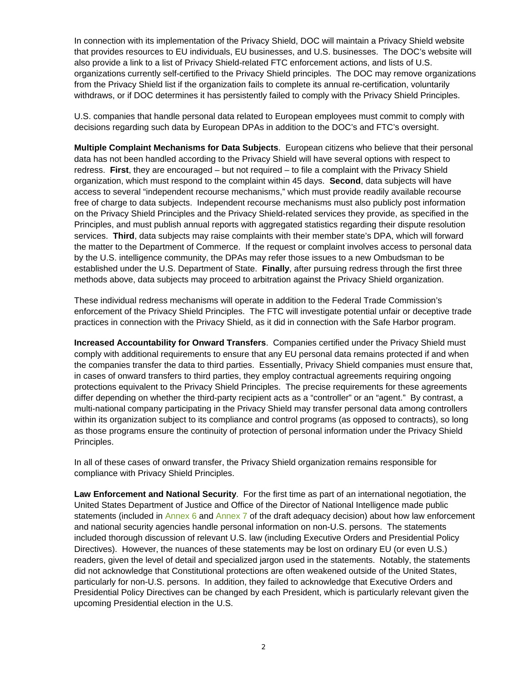In connection with its implementation of the Privacy Shield, DOC will maintain a Privacy Shield website that provides resources to EU individuals, EU businesses, and U.S. businesses. The DOC's website will also provide a link to a list of Privacy Shield-related FTC enforcement actions, and lists of U.S. organizations currently self-certified to the Privacy Shield principles. The DOC may remove organizations from the Privacy Shield list if the organization fails to complete its annual re-certification, voluntarily withdraws, or if DOC determines it has persistently failed to comply with the Privacy Shield Principles.

U.S. companies that handle personal data related to European employees must commit to comply with decisions regarding such data by European DPAs in addition to the DOC's and FTC's oversight.

**Multiple Complaint Mechanisms for Data Subjects**. European citizens who believe that their personal data has not been handled according to the Privacy Shield will have several options with respect to redress. **First**, they are encouraged – but not required – to file a complaint with the Privacy Shield organization, which must respond to the complaint within 45 days. **Second**, data subjects will have access to several "independent recourse mechanisms," which must provide readily available recourse free of charge to data subjects. Independent recourse mechanisms must also publicly post information on the Privacy Shield Principles and the Privacy Shield-related services they provide, as specified in the Principles, and must publish annual reports with aggregated statistics regarding their dispute resolution services. **Third**, data subjects may raise complaints with their member state's DPA, which will forward the matter to the Department of Commerce. If the request or complaint involves access to personal data by the U.S. intelligence community, the DPAs may refer those issues to a new Ombudsman to be established under the U.S. Department of State. **Finally**, after pursuing redress through the first three methods above, data subjects may proceed to arbitration against the Privacy Shield organization.

These individual redress mechanisms will operate in addition to the Federal Trade Commission's enforcement of the Privacy Shield Principles. The FTC will investigate potential unfair or deceptive trade practices in connection with the Privacy Shield, as it did in connection with the Safe Harbor program.

**Increased Accountability for Onward Transfers**. Companies certified under the Privacy Shield must comply with additional requirements to ensure that any EU personal data remains protected if and when the companies transfer the data to third parties. Essentially, Privacy Shield companies must ensure that, in cases of onward transfers to third parties, they employ contractual agreements requiring ongoing protections equivalent to the Privacy Shield Principles. The precise requirements for these agreements differ depending on whether the third-party recipient acts as a "controller" or an "agent." By contrast, a multi-national company participating in the Privacy Shield may transfer personal data among controllers within its organization subject to its compliance and control programs (as opposed to contracts), so long as those programs ensure the continuity of protection of personal information under the Privacy Shield Principles.

In all of these cases of onward transfer, the Privacy Shield organization remains responsible for compliance with Privacy Shield Principles.

**Law Enforcement and National Security**. For the first time as part of an international negotiation, the United States Department of Justice and Office of the Director of National Intelligence made public statements (included in Annex 6 and Annex 7 of the draft adequacy decision) about how law enforcement and national security agencies handle personal information on non-U.S. persons. The statements included thorough discussion of relevant U.S. law (including Executive Orders and Presidential Policy Directives). However, the nuances of these statements may be lost on ordinary EU (or even U.S.) readers, given the level of detail and specialized jargon used in the statements. Notably, the statements did not acknowledge that Constitutional protections are often weakened outside of the United States, particularly for non-U.S. persons. In addition, they failed to acknowledge that Executive Orders and Presidential Policy Directives can be changed by each President, which is particularly relevant given the upcoming Presidential election in the U.S.